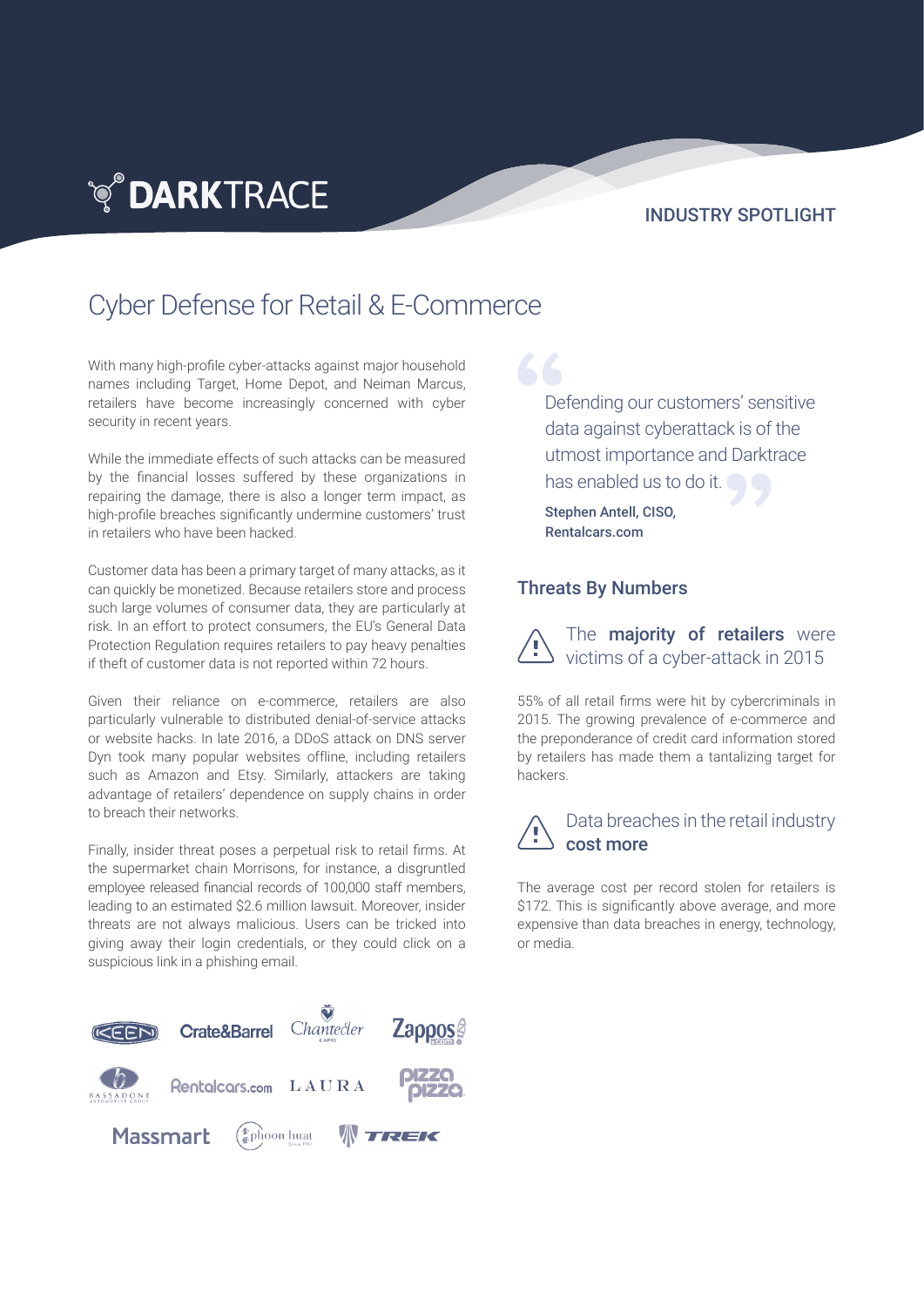## **TO DARKTRACE**

#### INDUSTRY SPOTLIGHT

## Cyber Defense for Retail & E-Commerce

With many high-profile cyber-attacks against major household names including Target, Home Depot, and Neiman Marcus, retailers have become increasingly concerned with cyber security in recent years.

While the immediate effects of such attacks can be measured by the financial losses suffered by these organizations in repairing the damage, there is also a longer term impact, as high-profile breaches significantly undermine customers' trust in retailers who have been hacked.

Customer data has been a primary target of many attacks, as it can quickly be monetized. Because retailers store and process such large volumes of consumer data, they are particularly at risk. In an effort to protect consumers, the EU's General Data Protection Regulation requires retailers to pay heavy penalties if theft of customer data is not reported within 72 hours.

Given their reliance on e-commerce, retailers are also particularly vulnerable to distributed denial-of-service attacks or website hacks. In late 2016, a DDoS attack on DNS server Dyn took many popular websites offline, including retailers such as Amazon and Etsy. Similarly, attackers are taking advantage of retailers' dependence on supply chains in order to breach their networks.

Finally, insider threat poses a perpetual risk to retail firms. At the supermarket chain Morrisons, for instance, a disgruntled employee released financial records of 100,000 staff members, leading to an estimated \$2.6 million lawsuit. Moreover, insider threats are not always malicious. Users can be tricked into giving away their login credentials, or they could click on a suspicious link in a phishing email.



Defending our customers' sensitive data against cyberattack is of the utmost importance and Darktrace has enabled us to do it.

Stephen Antell, CISO, Rentalcars.com

66

#### Threats By Numbers

The majority of retailers were victims of a cyber-attack in 2015

55% of all retail firms were hit by cybercriminals in 2015. The growing prevalence of e-commerce and the preponderance of credit card information stored by retailers has made them a tantalizing target for hackers.

#### Data breaches in the retail industry cost more

The average cost per record stolen for retailers is \$172. This is significantly above average, and more expensive than data breaches in energy, technology, or media.